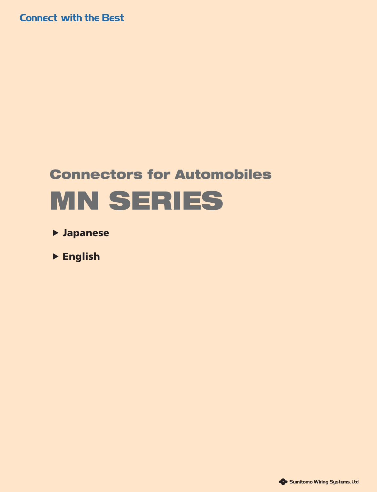**Connect with the Best** 

# **Connectors for Automobiles MN SERIES**

- **[Japanese](#page-1-0)**
- **[English](#page-4-0)** ▲ ▲

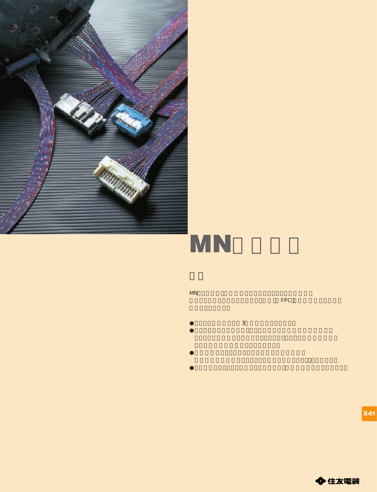<span id="page-1-0"></span>



 $\sim$  3  $\sim$  3  $\sim$   $\sim$   $\sim$   $\sim$   $\sim$ 

MNシリーズは、自動車用コンビネーションメータの配線に

使用されているフレキシブルプリント基板(FPC)と直接接続するための

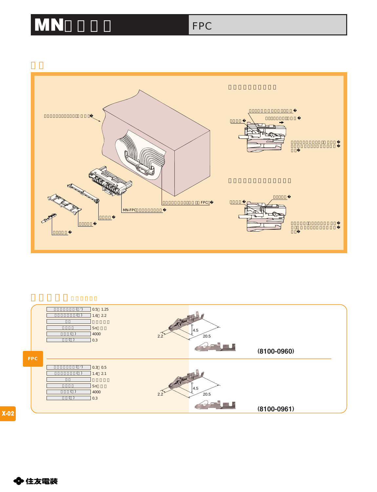### MN FPC





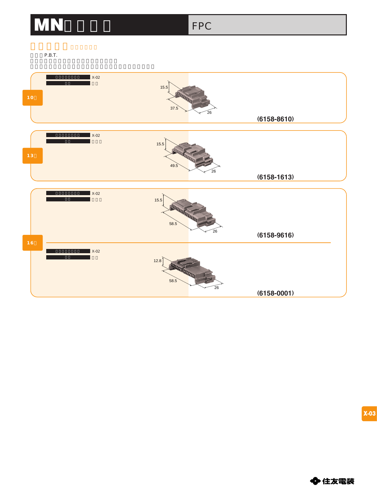### MN FPC

P.B.T.



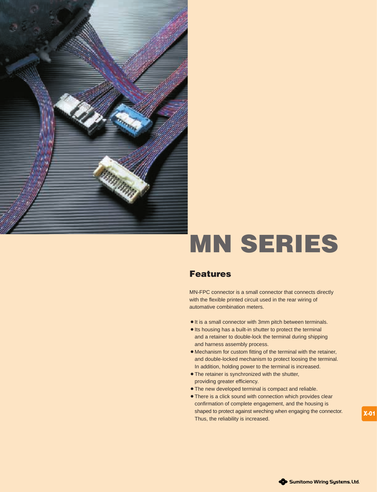<span id="page-4-0"></span>

# MN SERIES

#### **Features**

MN-FPC connector is a small connector that connects directly with the flexible printed circuit used in the rear wiring of automative combination meters.

- $\bullet$  It is a small connector with 3mm pitch between terminals.
- Its housing has a built-in shutter to protect the terminal and a retainer to double-lock the terminal during shipping and harness assembly process.
- $\bullet$  Mechanism for custom fitting of the terminal with the retainer, and double-locked mechanism to protect loosing the terminal. In addition, holding power to the terminal is increased.
- The retainer is synchronized with the shutter, providing greater efficiency.
- The new developed terminal is compact and reliable.
- There is a click sound with connection which provides clear confirmation of complete engagement, and the housing is shaped to protect against wreching when engaging the connector. Thus, the reliability is increased.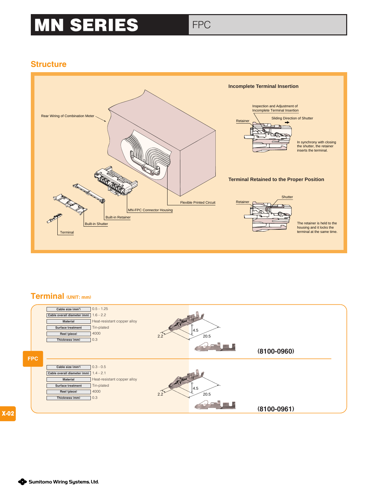## **MN SERIES** FPC

#### **Structure**



#### **Terminal (UNIT: mm)**